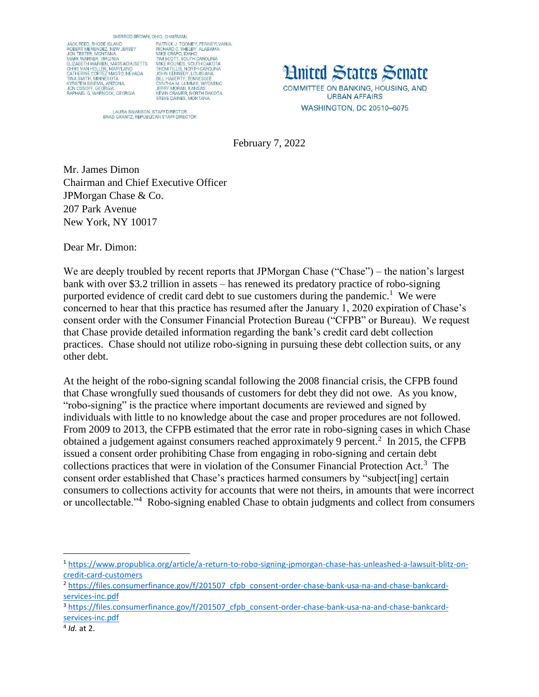SHERROD BROWN, OHIO, CHAIRMAN



OHIO, CHAIRMAN<br>PATRICK J. TOOMEY, PENNSYLVANIA<br>RICHARD C. SHELBY, ALABAMA<br>MIKE CRAPO, IDAHO<br>TIM SCOTT, SOUTH CAROLINA<br>TIM SCOTT, SOUTH CAROLINA<br>MIKE ROUNDS, SOUTH CAROLINA<br>JOHN KENNEDY, LOUISIANA<br>J. J. HAGERTY, TENNESSEE<br>C

LAURA SWANSON, STAFF DIRECTOR<br>BRAD GRANTZ, REPUBLICAN STAFF DIRECTOR

**Hnited States Senate** COMMITTEE ON BANKING, HOUSING, AND **URBAN AFFAIRS** WASHINGTON, DC 20510-6075

February 7, 2022

Mr. James Dimon Chairman and Chief Executive Officer JPMorgan Chase & Co. 207 Park Avenue New York, NY 10017

Dear Mr. Dimon:

We are deeply troubled by recent reports that JPMorgan Chase ("Chase") – the nation's largest bank with over \$3.2 trillion in assets – has renewed its predatory practice of robo-signing purported evidence of credit card debt to sue customers during the pandemic.<sup>1</sup> We were concerned to hear that this practice has resumed after the January 1, 2020 expiration of Chase's consent order with the Consumer Financial Protection Bureau ("CFPB" or Bureau). We request that Chase provide detailed information regarding the bank's credit card debt collection practices. Chase should not utilize robo-signing in pursuing these debt collection suits, or any other debt.

At the height of the robo-signing scandal following the 2008 financial crisis, the CFPB found that Chase wrongfully sued thousands of customers for debt they did not owe. As you know, "robo-signing" is the practice where important documents are reviewed and signed by individuals with little to no knowledge about the case and proper procedures are not followed. From 2009 to 2013, the CFPB estimated that the error rate in robo-signing cases in which Chase obtained a judgement against consumers reached approximately 9 percent.<sup>2</sup> In 2015, the CFPB issued a consent order prohibiting Chase from engaging in robo-signing and certain debt collections practices that were in violation of the Consumer Financial Protection Act.<sup>3</sup> The consent order established that Chase's practices harmed consumers by "subject[ing] certain consumers to collections activity for accounts that were not theirs, in amounts that were incorrect or uncollectable."<sup>4</sup> Robo-signing enabled Chase to obtain judgments and collect from consumers

 $\overline{\phantom{a}}$ 

<sup>1</sup> [https://www.propublica.org/article/a-return-to-robo-signing-jpmorgan-chase-has-unleashed-a-lawsuit-blitz-on](https://www.propublica.org/article/a-return-to-robo-signing-jpmorgan-chase-has-unleashed-a-lawsuit-blitz-on-credit-card-customers)[credit-card-customers](https://www.propublica.org/article/a-return-to-robo-signing-jpmorgan-chase-has-unleashed-a-lawsuit-blitz-on-credit-card-customers)

<sup>2</sup> [https://files.consumerfinance.gov/f/201507\\_cfpb\\_consent-order-chase-bank-usa-na-and-chase-bankcard](https://files.consumerfinance.gov/f/201507_cfpb_consent-order-chase-bank-usa-na-and-chase-bankcard-services-inc.pdf)[services-inc.pdf](https://files.consumerfinance.gov/f/201507_cfpb_consent-order-chase-bank-usa-na-and-chase-bankcard-services-inc.pdf)

<sup>&</sup>lt;sup>3</sup> [https://files.consumerfinance.gov/f/201507\\_cfpb\\_consent-order-chase-bank-usa-na-and-chase-bankcard](https://files.consumerfinance.gov/f/201507_cfpb_consent-order-chase-bank-usa-na-and-chase-bankcard-services-inc.pdf)[services-inc.pdf](https://files.consumerfinance.gov/f/201507_cfpb_consent-order-chase-bank-usa-na-and-chase-bankcard-services-inc.pdf)

<sup>4</sup> *Id.* at 2.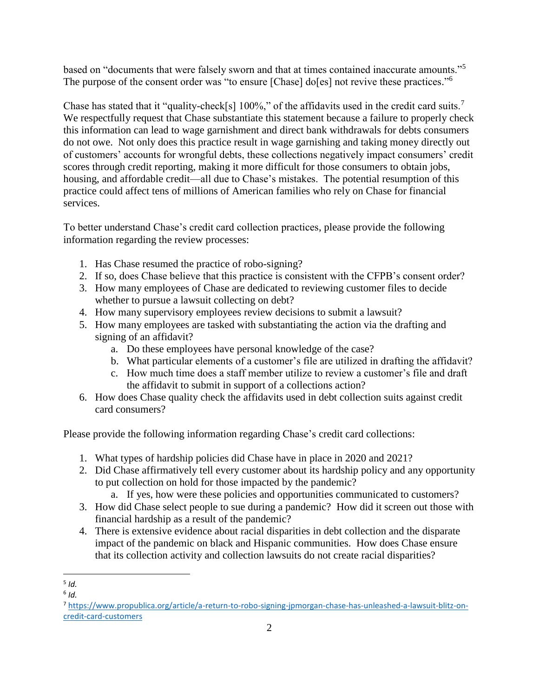based on "documents that were falsely sworn and that at times contained inaccurate amounts."<sup>5</sup> The purpose of the consent order was "to ensure [Chase] do[es] not revive these practices."<sup>6</sup>

Chase has stated that it "quality-check[s] 100%," of the affidavits used in the credit card suits.<sup>7</sup> We respectfully request that Chase substantiate this statement because a failure to properly check this information can lead to wage garnishment and direct bank withdrawals for debts consumers do not owe. Not only does this practice result in wage garnishing and taking money directly out of customers' accounts for wrongful debts, these collections negatively impact consumers' credit scores through credit reporting, making it more difficult for those consumers to obtain jobs, housing, and affordable credit—all due to Chase's mistakes. The potential resumption of this practice could affect tens of millions of American families who rely on Chase for financial services.

To better understand Chase's credit card collection practices, please provide the following information regarding the review processes:

- 1. Has Chase resumed the practice of robo-signing?
- 2. If so, does Chase believe that this practice is consistent with the CFPB's consent order?
- 3. How many employees of Chase are dedicated to reviewing customer files to decide whether to pursue a lawsuit collecting on debt?
- 4. How many supervisory employees review decisions to submit a lawsuit?
- 5. How many employees are tasked with substantiating the action via the drafting and signing of an affidavit?
	- a. Do these employees have personal knowledge of the case?
	- b. What particular elements of a customer's file are utilized in drafting the affidavit?
	- c. How much time does a staff member utilize to review a customer's file and draft the affidavit to submit in support of a collections action?
- 6. How does Chase quality check the affidavits used in debt collection suits against credit card consumers?

Please provide the following information regarding Chase's credit card collections:

- 1. What types of hardship policies did Chase have in place in 2020 and 2021?
- 2. Did Chase affirmatively tell every customer about its hardship policy and any opportunity to put collection on hold for those impacted by the pandemic?
	- a. If yes, how were these policies and opportunities communicated to customers?
- 3. How did Chase select people to sue during a pandemic? How did it screen out those with financial hardship as a result of the pandemic?
- 4. There is extensive evidence about racial disparities in debt collection and the disparate impact of the pandemic on black and Hispanic communities. How does Chase ensure that its collection activity and collection lawsuits do not create racial disparities?

 $\overline{\phantom{a}}$ 5 *Id.* 

<sup>6</sup> *Id.* 

<sup>7</sup> [https://www.propublica.org/article/a-return-to-robo-signing-jpmorgan-chase-has-unleashed-a-lawsuit-blitz-on](https://www.propublica.org/article/a-return-to-robo-signing-jpmorgan-chase-has-unleashed-a-lawsuit-blitz-on-credit-card-customers)[credit-card-customers](https://www.propublica.org/article/a-return-to-robo-signing-jpmorgan-chase-has-unleashed-a-lawsuit-blitz-on-credit-card-customers)